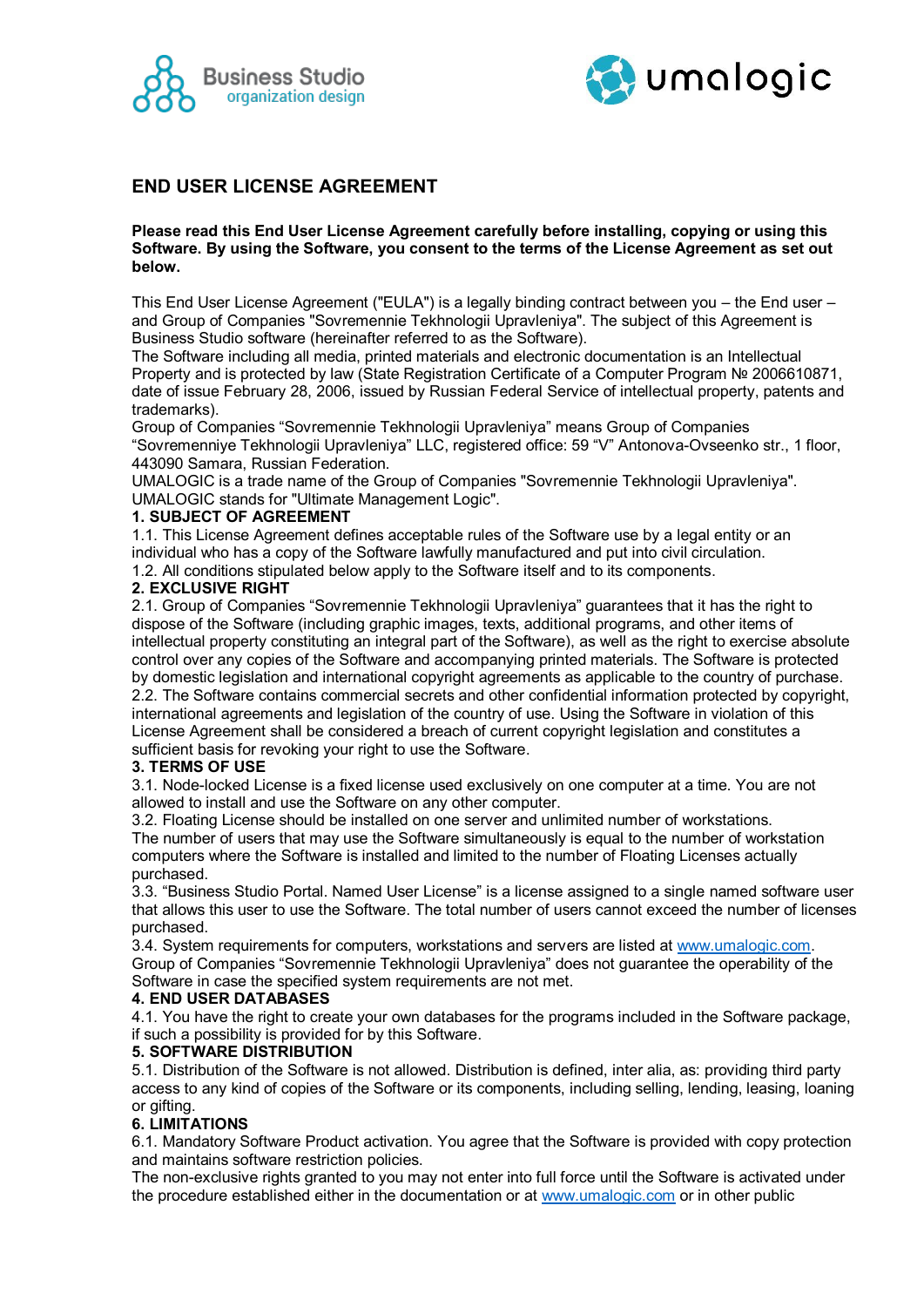



# **END USER LICENSE AGREEMENT**

#### **Please read this End User License Agreement carefully before installing, copying or using this Software. By using the Software, you consent to the terms of the License Agreement as set out below.**

This End User License Agreement ("EULA") is a legally binding contract between you – the End user – and Group of Companies "Sovremennie Tekhnologii Upravleniya". The subject of this Agreement is Business Studio software (hereinafter referred to as the Software).

The Software including all media, printed materials and electronic documentation is an Intellectual Property and is protected by law (State Registration Certificate of a Computer Program № 2006610871, date of issue February 28, 2006, issued by Russian Federal Service of intellectual property, patents and trademarks).

Group of Companies "Sovremennie Tekhnologii Upravleniya" means Group of Companies "Sovremenniye Tekhnologii Upravleniya" LLC, registered office: 59 "V" Antonova-Ovseenko str., 1 floor, 443090 Samara, Russian Federation.

UMALOGIC is a trade name of the Group of Companies "Sovremennie Tekhnologii Upravleniya". UMALOGIC stands for "Ultimate Management Logic".

#### **1. SUBJECT OF AGREEMENT**

1.1. This License Agreement defines acceptable rules of the Software use by a legal entity or an individual who has a copy of the Software lawfully manufactured and put into civil circulation. 1.2. All conditions stipulated below apply to the Software itself and to its components.

#### **2. EXCLUSIVE RIGHT**

2.1. Group of Companies "Sovremennie Tekhnologii Upravleniya" guarantees that it has the right to dispose of the Software (including graphic images, texts, additional programs, and other items of intellectual property constituting an integral part of the Software), as well as the right to exercise absolute control over any copies of the Software and accompanying printed materials. The Software is protected by domestic legislation and international copyright agreements as applicable to the country of purchase. 2.2. The Software contains commercial secrets and other confidential information protected by copyright, international agreements and legislation of the country of use. Using the Software in violation of this License Agreement shall be considered a breach of current copyright legislation and constitutes a sufficient basis for revoking your right to use the Software.

#### **3. TERMS OF USE**

3.1. Node-locked License is a fixed license used exclusively on one computer at a time. You are not allowed to install and use the Software on any other computer.

3.2. Floating License should be installed on one server and unlimited number of workstations. The number of users that may use the Software simultaneously is equal to the number of workstation computers where the Software is installed and limited to the number of Floating Licenses actually purchased.

3.3. "Business Studio Portal. Named User License" is a license assigned to a single named software user that allows this user to use the Software. The total number of users cannot exceed the number of licenses purchased.

3.4. System requirements for computers, workstations and servers are listed at [www.umalogic.com.](http://www.umalogic.com/) Group of Companies "Sovremennie Tekhnologii Upravleniya" does not guarantee the operability of the Software in case the specified system requirements are not met.

# **4. END USER DATABASES**

4.1. You have the right to create your own databases for the programs included in the Software package, if such a possibility is provided for by this Software.

#### **5. SOFTWARE DISTRIBUTION**

5.1. Distribution of the Software is not allowed. Distribution is defined, inter alia, as: providing third party access to any kind of copies of the Software or its components, including selling, lending, leasing, loaning or gifting.

# **6. LIMITATIONS**

6.1. Mandatory Software Product activation. You agree that the Software is provided with copy protection and maintains software restriction policies.

The non-exclusive rights granted to you may not enter into full force until the Software is activated under the procedure established either in the documentation or at [www.umalogic.com](http://www.umalogic.com/) or in other public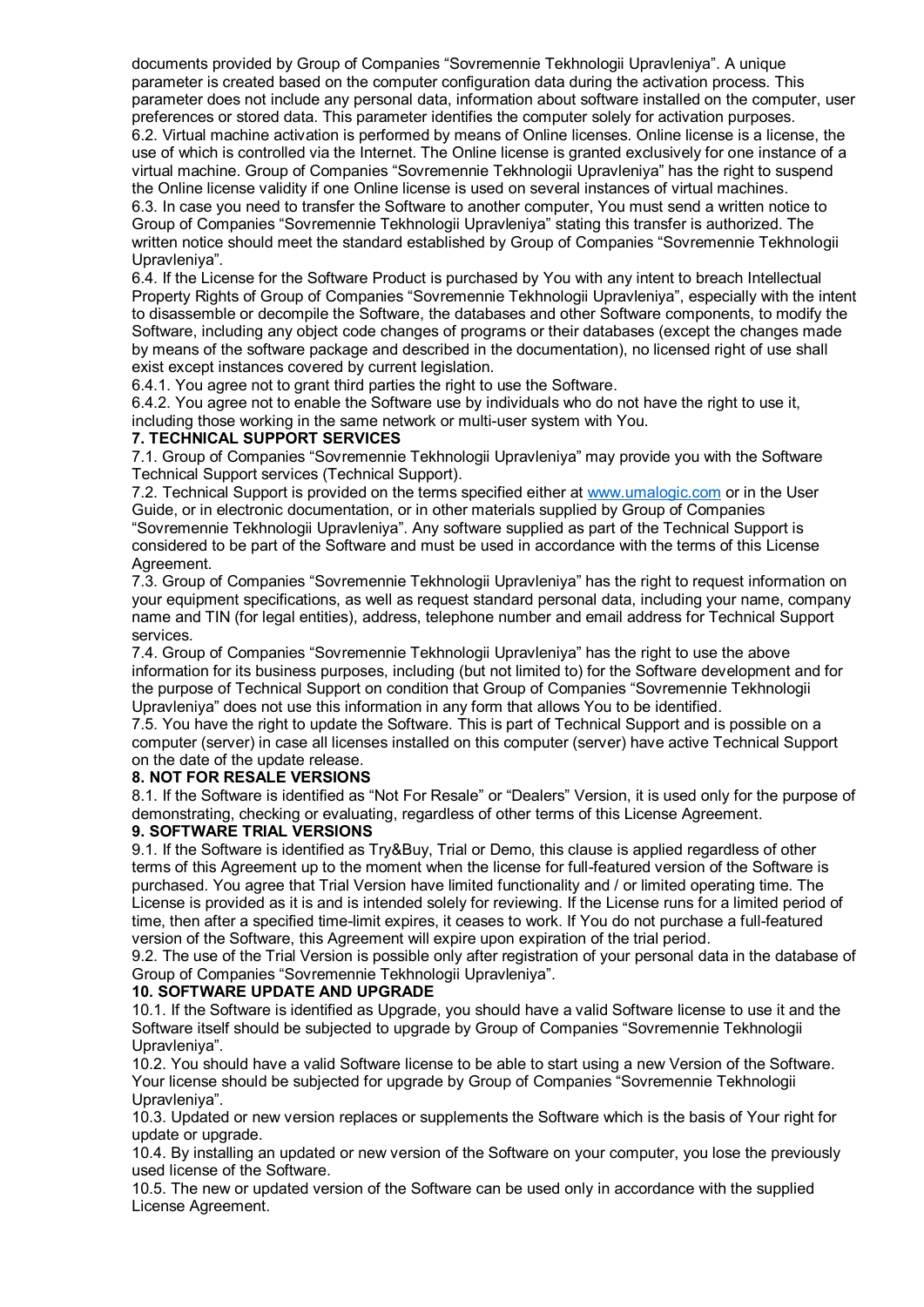documents provided by Group of Companies "Sovremennie Tekhnologii Upravleniya". A unique parameter is created based on the computer configuration data during the activation process. This parameter does not include any personal data, information about software installed on the computer, user preferences or stored data. This parameter identifies the computer solely for activation purposes. 6.2. Virtual machine activation is performed by means of Online licenses. Online license is a license, the use of which is controlled via the Internet. The Online license is granted exclusively for one instance of a virtual machine. Group of Companies "Sovremennie Tekhnologii Upravleniya" has the right to suspend the Online license validity if one Online license is used on several instances of virtual machines. 6.3. In case you need to transfer the Software to another computer, You must send a written notice to Group of Companies "Sovremennie Tekhnologii Upravleniya" stating this transfer is authorized. The written notice should meet the standard established by Group of Companies "Sovremennie Tekhnologii Upravleniya".

6.4. If the License for the Software Product is purchased by You with any intent to breach Intellectual Property Rights of Group of Companies "Sovremennie Tekhnologii Upravleniya", especially with the intent to disassemble or decompile the Software, the databases and other Software components, to modify the Software, including any object code changes of programs or their databases (except the changes made by means of the software package and described in the documentation), no licensed right of use shall exist except instances covered by current legislation.

6.4.1. You agree not to grant third parties the right to use the Software.

6.4.2. You agree not to enable the Software use by individuals who do not have the right to use it, including those working in the same network or multi-user system with You.

# **7. TECHNICAL SUPPORT SERVICES**

7.1. Group of Companies "Sovremennie Tekhnologii Upravleniya" may provide you with the Software Technical Support services (Technical Support).

7.2. Technical Support is provided on the terms specified either at [www.umalogic.com](http://www.umalogic.com/) or in the User Guide, or in electronic documentation, or in other materials supplied by Group of Companies "Sovremennie Tekhnologii Upravleniya". Any software supplied as part of the Technical Support is considered to be part of the Software and must be used in accordance with the terms of this License Agreement.

7.3. Group of Companies "Sovremennie Tekhnologii Upravleniya" has the right to request information on your equipment specifications, as well as request standard personal data, including your name, company name and TIN (for legal entities), address, telephone number and email address for Technical Support services.

7.4. Group of Companies "Sovremennie Tekhnologii Upravleniya" has the right to use the above information for its business purposes, including (but not limited to) for the Software development and for the purpose of Technical Support on condition that Group of Companies "Sovremennie Tekhnologii Upravleniya" does not use this information in any form that allows You to be identified.

7.5. You have the right to update the Software. This is part of Technical Support and is possible on a computer (server) in case all licenses installed on this computer (server) have active Technical Support on the date of the update release.

# **8. NOT FOR RESALE VERSIONS**

8.1. If the Software is identified as "Not For Resale" or "Dealers" Version, it is used only for the purpose of demonstrating, checking or evaluating, regardless of other terms of this License Agreement.

# **9. SOFTWARE TRIAL VERSIONS**

9.1. If the Software is identified as Try&Buy, Trial or Demo, this clause is applied regardless of other terms of this Agreement up to the moment when the license for full-featured version of the Software is purchased. You agree that Trial Version have limited functionality and / or limited operating time. The License is provided as it is and is intended solely for reviewing. If the License runs for a limited period of time, then after a specified time-limit expires, it ceases to work. If You do not purchase a full-featured version of the Software, this Agreement will expire upon expiration of the trial period.

9.2. The use of the Trial Version is possible only after registration of your personal data in the database of Group of Companies "Sovremennie Tekhnologii Upravleniya".

# **10. SOFTWARE UPDATE AND UPGRADE**

10.1. If the Software is identified as Upgrade, you should have a valid Software license to use it and the Software itself should be subjected to upgrade by Group of Companies "Sovremennie Tekhnologii Upravleniya".

10.2. You should have a valid Software license to be able to start using a new Version of the Software. Your license should be subjected for upgrade by Group of Companies "Sovremennie Tekhnologii Upravleniya".

10.3. Updated or new version replaces or supplements the Software which is the basis of Your right for update or upgrade.

10.4. By installing an updated or new version of the Software on your computer, you lose the previously used license of the Software.

10.5. The new or updated version of the Software can be used only in accordance with the supplied License Agreement.